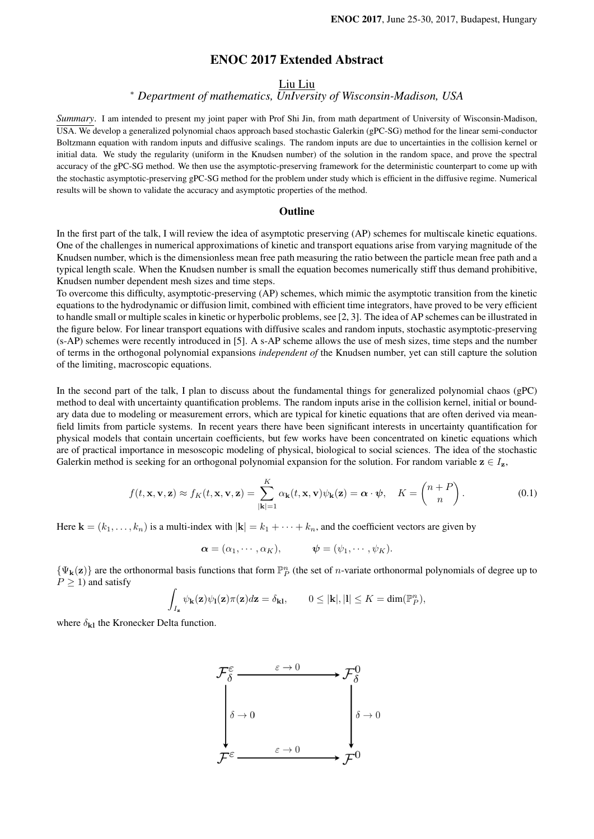# ENOC 2017 Extended Abstract

## Liu Liu

# <sup>∗</sup> *Department of mathematics, UnIversity of Wisconsin-Madison, USA*

*Summary*. I am intended to present my joint paper with Prof Shi Jin, from math department of University of Wisconsin-Madison, USA. We develop a generalized polynomial chaos approach based stochastic Galerkin (gPC-SG) method for the linear semi-conductor Boltzmann equation with random inputs and diffusive scalings. The random inputs are due to uncertainties in the collision kernel or initial data. We study the regularity (uniform in the Knudsen number) of the solution in the random space, and prove the spectral accuracy of the gPC-SG method. We then use the asymptotic-preserving framework for the deterministic counterpart to come up with the stochastic asymptotic-preserving gPC-SG method for the problem under study which is efficient in the diffusive regime. Numerical results will be shown to validate the accuracy and asymptotic properties of the method.

### **Outline**

In the first part of the talk, I will review the idea of asymptotic preserving (AP) schemes for multiscale kinetic equations. One of the challenges in numerical approximations of kinetic and transport equations arise from varying magnitude of the Knudsen number, which is the dimensionless mean free path measuring the ratio between the particle mean free path and a typical length scale. When the Knudsen number is small the equation becomes numerically stiff thus demand prohibitive, Knudsen number dependent mesh sizes and time steps.

To overcome this difficulty, asymptotic-preserving (AP) schemes, which mimic the asymptotic transition from the kinetic equations to the hydrodynamic or diffusion limit, combined with efficient time integrators, have proved to be very efficient to handle small or multiple scales in kinetic or hyperbolic problems, see [2, 3]. The idea of AP schemes can be illustrated in the figure below. For linear transport equations with diffusive scales and random inputs, stochastic asymptotic-preserving (s-AP) schemes were recently introduced in [5]. A s-AP scheme allows the use of mesh sizes, time steps and the number of terms in the orthogonal polynomial expansions *independent of* the Knudsen number, yet can still capture the solution of the limiting, macroscopic equations.

In the second part of the talk, I plan to discuss about the fundamental things for generalized polynomial chaos (gPC) method to deal with uncertainty quantification problems. The random inputs arise in the collision kernel, initial or boundary data due to modeling or measurement errors, which are typical for kinetic equations that are often derived via meanfield limits from particle systems. In recent years there have been significant interests in uncertainty quantification for physical models that contain uncertain coefficients, but few works have been concentrated on kinetic equations which are of practical importance in mesoscopic modeling of physical, biological to social sciences. The idea of the stochastic Galerkin method is seeking for an orthogonal polynomial expansion for the solution. For random variable  $z \in I_z$ ,

$$
f(t, \mathbf{x}, \mathbf{v}, \mathbf{z}) \approx f_K(t, \mathbf{x}, \mathbf{v}, \mathbf{z}) = \sum_{|\mathbf{k}|=1}^{K} \alpha_{\mathbf{k}}(t, \mathbf{x}, \mathbf{v}) \psi_{\mathbf{k}}(\mathbf{z}) = \boldsymbol{\alpha} \cdot \boldsymbol{\psi}, \quad K = \begin{pmatrix} n+P \\ n \end{pmatrix}.
$$
 (0.1)

Here  $\mathbf{k} = (k_1, \ldots, k_n)$  is a multi-index with  $|\mathbf{k}| = k_1 + \cdots + k_n$ , and the coefficient vectors are given by

$$
\boldsymbol{\alpha}=(\alpha_1,\cdots,\alpha_K),\qquad\boldsymbol{\psi}=(\psi_1,\cdots,\psi_K).
$$

 $\{\Psi_{\mathbf{k}}(\mathbf{z})\}$  are the orthonormal basis functions that form  $\mathbb{P}^n_P$  (the set of *n*-variate orthonormal polynomials of degree up to  $P \geq 1$ ) and satisfy

$$
\int_{I_{\mathbf{z}}} \psi_{\mathbf{k}}(\mathbf{z}) \psi_{\mathbf{l}}(\mathbf{z}) \pi(\mathbf{z}) d\mathbf{z} = \delta_{\mathbf{k}\mathbf{l}}, \qquad 0 \leq |\mathbf{k}|, |\mathbf{l}| \leq K = \dim(\mathbb{P}_{P}^{n}),
$$

where  $\delta_{\mathbf{k}}$  the Kronecker Delta function.